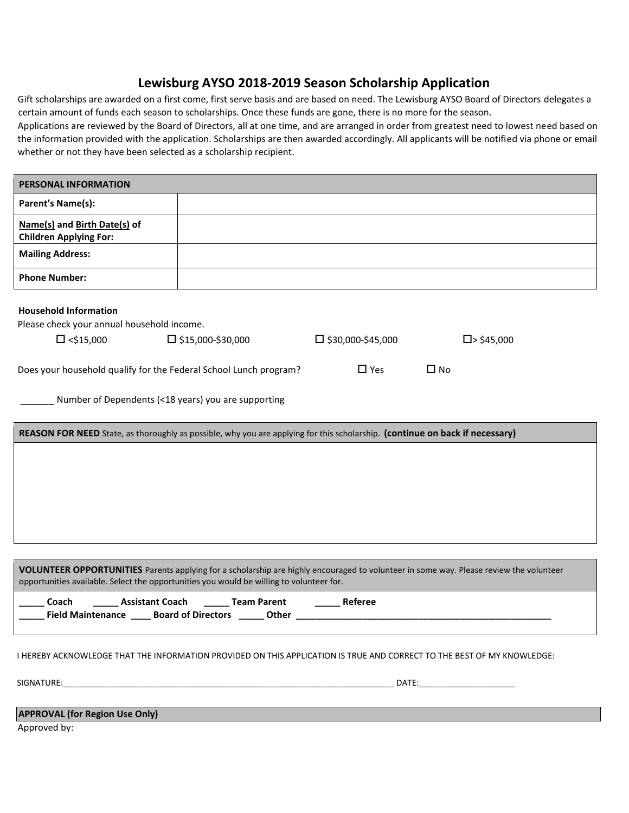## **Lewisburg AYSO 2018-2019 Season Scholarship Application**

Gift scholarships are awarded on a first come, first serve basis and are based on need. The Lewisburg AYSO Board of Directors delegates a certain amount of funds each season to scholarships. Once these funds are gone, there is no more for the season.

Applications are reviewed by the Board of Directors, all at one time, and are arranged in order from greatest need to lowest need based on the information provided with the application. Scholarships are then awarded accordingly. All applicants will be notified via phone or email whether or not they have been selected as a scholarship recipient.

 $\overline{\phantom{0}}$ 

| <b>PERSONAL INFORMATION</b>                                                                                                                                                                                                        |                                                      |                          |                      |  |
|------------------------------------------------------------------------------------------------------------------------------------------------------------------------------------------------------------------------------------|------------------------------------------------------|--------------------------|----------------------|--|
| Parent's Name(s):                                                                                                                                                                                                                  |                                                      |                          |                      |  |
| Name(s) and Birth Date(s) of<br><b>Children Applying For:</b>                                                                                                                                                                      |                                                      |                          |                      |  |
| <b>Mailing Address:</b>                                                                                                                                                                                                            |                                                      |                          |                      |  |
| <b>Phone Number:</b>                                                                                                                                                                                                               |                                                      |                          |                      |  |
| <b>Household Information</b>                                                                                                                                                                                                       |                                                      |                          |                      |  |
| Please check your annual household income.                                                                                                                                                                                         |                                                      |                          |                      |  |
| $\Box$ <\$15,000                                                                                                                                                                                                                   | $\square$ \$15,000-\$30,000                          | $\Box$ \$30,000-\$45,000 | $\square$ > \$45,000 |  |
| Does your household qualify for the Federal School Lunch program?                                                                                                                                                                  |                                                      | $\Box$ Yes               | $\Box$ No            |  |
| Number of Dependents (<18 years) you are supporting                                                                                                                                                                                |                                                      |                          |                      |  |
| REASON FOR NEED State, as thoroughly as possible, why you are applying for this scholarship. (continue on back if necessary)                                                                                                       |                                                      |                          |                      |  |
|                                                                                                                                                                                                                                    |                                                      |                          |                      |  |
|                                                                                                                                                                                                                                    |                                                      |                          |                      |  |
|                                                                                                                                                                                                                                    |                                                      |                          |                      |  |
|                                                                                                                                                                                                                                    |                                                      |                          |                      |  |
|                                                                                                                                                                                                                                    |                                                      |                          |                      |  |
|                                                                                                                                                                                                                                    |                                                      |                          |                      |  |
| VOLUNTEER OPPORTUNITIES Parents applying for a scholarship are highly encouraged to volunteer in some way. Please review the volunteer<br>opportunities available. Select the opportunities you would be willing to volunteer for. |                                                      |                          |                      |  |
| Coach                                                                                                                                                                                                                              | Assistant Coach _______ Team Parent ________ Referee |                          |                      |  |
| I HEREBY ACKNOWLEDGE THAT THE INFORMATION PROVIDED ON THIS APPLICATION IS TRUE AND CORRECT TO THE BEST OF MY KNOWLEDGE:                                                                                                            |                                                      |                          |                      |  |
|                                                                                                                                                                                                                                    |                                                      |                          |                      |  |
| <b>APPROVAL (for Region Use Only)</b>                                                                                                                                                                                              |                                                      |                          |                      |  |
| Approved by:                                                                                                                                                                                                                       |                                                      |                          |                      |  |